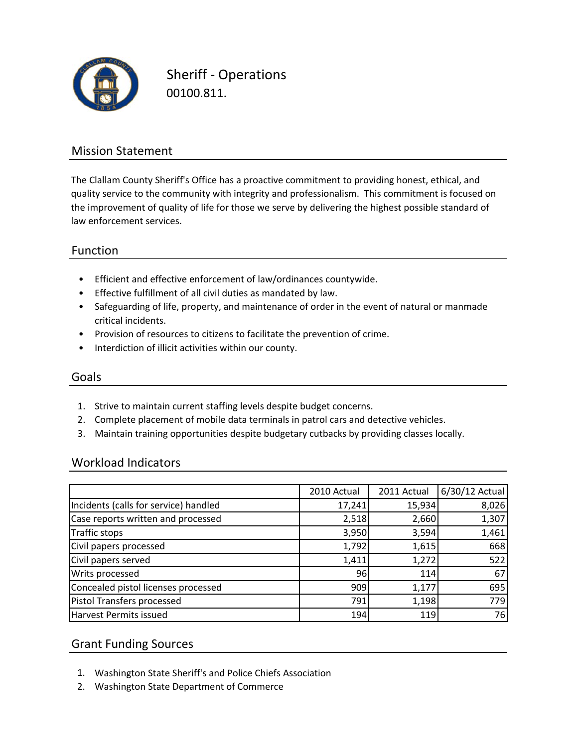

Sheriff ‐ Operations 00100.811.

### Mission Statement

The Clallam County Sheriff's Office has a proactive commitment to providing honest, ethical, and quality service to the community with integrity and professionalism. This commitment is focused on the improvement of quality of life for those we serve by delivering the highest possible standard of law enforcement services.

### Function

- Efficient and effective enforcement of law/ordinances countywide.
- Effective fulfillment of all civil duties as mandated by law.
- Safeguarding of life, property, and maintenance of order in the event of natural or manmade critical incidents.
- Provision of resources to citizens to facilitate the prevention of crime.
- Interdiction of illicit activities within our county.

#### Goals

- 1. Strive to maintain current staffing levels despite budget concerns.
- 2. Complete placement of mobile data terminals in patrol cars and detective vehicles.
- 3. Maintain training opportunities despite budgetary cutbacks by providing classes locally.

#### Workload Indicators

|                                       | 2010 Actual | 2011 Actual | 6/30/12 Actual |
|---------------------------------------|-------------|-------------|----------------|
| Incidents (calls for service) handled | 17,241      | 15,934      | 8,026          |
| Case reports written and processed    | 2,518       | 2,660       | 1,307          |
| Traffic stops                         | 3,950       | 3,594       | 1,461          |
| Civil papers processed                | 1,792       | 1,615       | 668            |
| Civil papers served                   | 1,411       | 1,272       | 522            |
| Writs processed                       | 96          | 114         | 67             |
| Concealed pistol licenses processed   | 909         | 1,177       | 695            |
| Pistol Transfers processed            | 791         | 1,198       | 779            |
| Harvest Permits issued                | 194         | 119         | 76             |

### Grant Funding Sources

- 1. Washington State Sheriff's and Police Chiefs Association
- 2. Washington State Department of Commerce